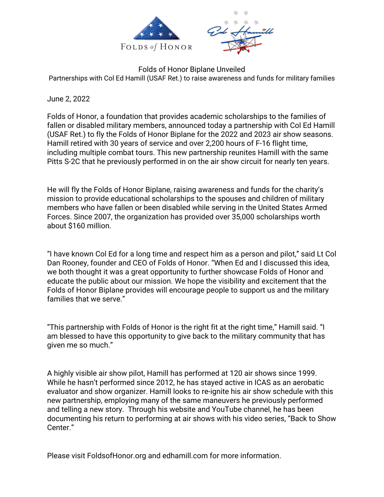

Folds of Honor Biplane Unveiled Partnerships with Col Ed Hamill (USAF Ret.) to raise awareness and funds for military families

June 2, 2022

Folds of Honor, a foundation that provides academic scholarships to the families of fallen or disabled military members, announced today a partnership with Col Ed Hamill (USAF Ret.) to fly the Folds of Honor Biplane for the 2022 and 2023 air show seasons. Hamill retired with 30 years of service and over 2,200 hours of F-16 flight time, including multiple combat tours. This new partnership reunites Hamill with the same Pitts S-2C that he previously performed in on the air show circuit for nearly ten years.

He will fly the Folds of Honor Biplane, raising awareness and funds for the charity's mission to provide educational scholarships to the spouses and children of military members who have fallen or been disabled while serving in the United States Armed Forces. Since 2007, the organization has provided over 35,000 scholarships worth about \$160 million.

"I have known Col Ed for a long time and respect him as a person and pilot," said Lt Col Dan Rooney, founder and CEO of Folds of Honor. "When Ed and I discussed this idea, we both thought it was a great opportunity to further showcase Folds of Honor and educate the public about our mission. We hope the visibility and excitement that the Folds of Honor Biplane provides will encourage people to support us and the military families that we serve."

"This partnership with Folds of Honor is the right fit at the right time," Hamill said. "I am blessed to have this opportunity to give back to the military community that has given me so much."

A highly visible air show pilot, Hamill has performed at 120 air shows since 1999. While he hasn't performed since 2012, he has stayed active in ICAS as an aerobatic evaluator and show organizer. Hamill looks to re-ignite his air show schedule with this new partnership, employing many of the same maneuvers he previously performed and telling a new story. Through his website and YouTube channel, he has been documenting his return to performing at air shows with his video series, "Back to Show Center."

Please visit FoldsofHonor.org and edhamill.com for more information.